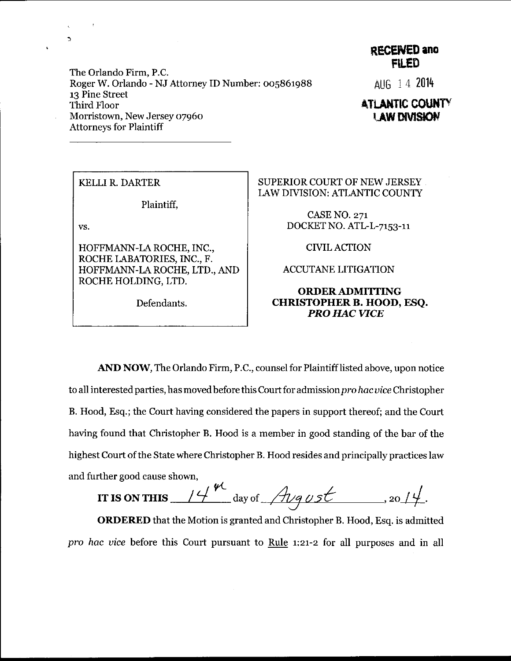The Orlando Firm, P.C. Roger W. Orlando - NJ Attorney ID Number: 005861988 13 Pine Street Third Floor Morristown, New Jersey o796o Attorneys for Plaintiff

## RECENED and FII,ED

AU6 i 4 <sup>2014</sup>

## **ATLANTIC COUNTY LAW DIVISION**

KELLI R. DARTER

Plaintiff,

vs.

 $\mathbf{r}$ 

HOFFMANN-LA ROCHE, INC., ROCHE LABATORIES, INC., F. HOFFMANN-LA ROCHE, LTD., AND ROCHE HOLDING, LTD.

Defendants.

## SUPERIOR COURT OF NEW JERSEY LAW DIVISION: ATLANTIC COUNTY

CASE NO. 271 DOCKET NO. ATL-L-7153-11

CIVIL ACTION

ACCUTANE LITIGATION

## ORDER ADMITTING CHRISTOPHER B. HOOD, ESQ. PRO HAC VICE

AND NOW, The Orlando Firm, P.C., counsel for Plaintifflisted above, upon notice to all interested parties, has moved before this Court for admission pro hac vice Christopher B. Hood, Esq.; the Court having considered the papers in support thereof; and the Court having found that Christopher B. Hood is a member in good standing of the bar of the highest Court of the State where Christopher B. Hood resides and principally practices law and further good cause shown,

 $\mathcal{L}$  $\overline{\phantom{a}}$ IT IS ON THIS  $\frac{14}{10}$  day of  $\frac{14}{119}$  ust ..., 2014.

ORDERED that the Motion is granted and Christopher B. Hood, Esq. is admitted pro hac vice before this Court pursuant to Rule 1:21-2 for all purposes and in all